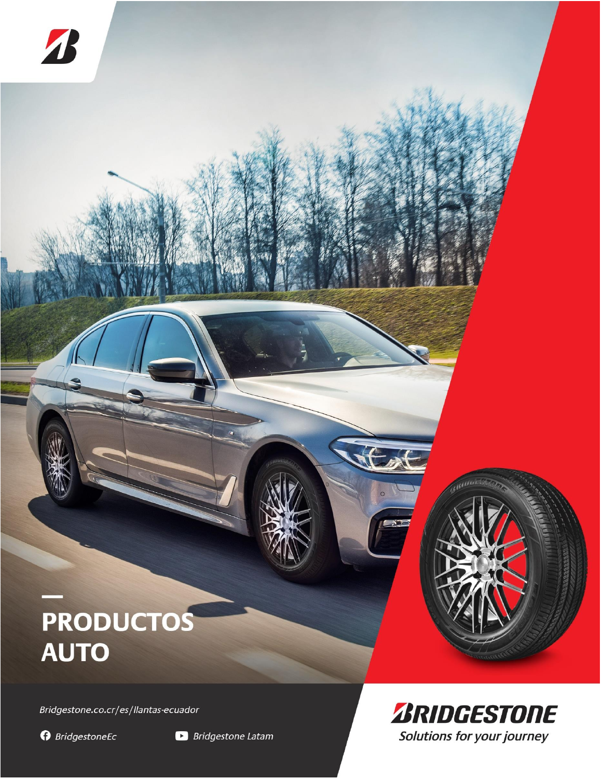## PRODUCTOS **AUTO**

Bridgestone.co.cr/es/llantas-ecuador

**O** BridgestoneEc

4



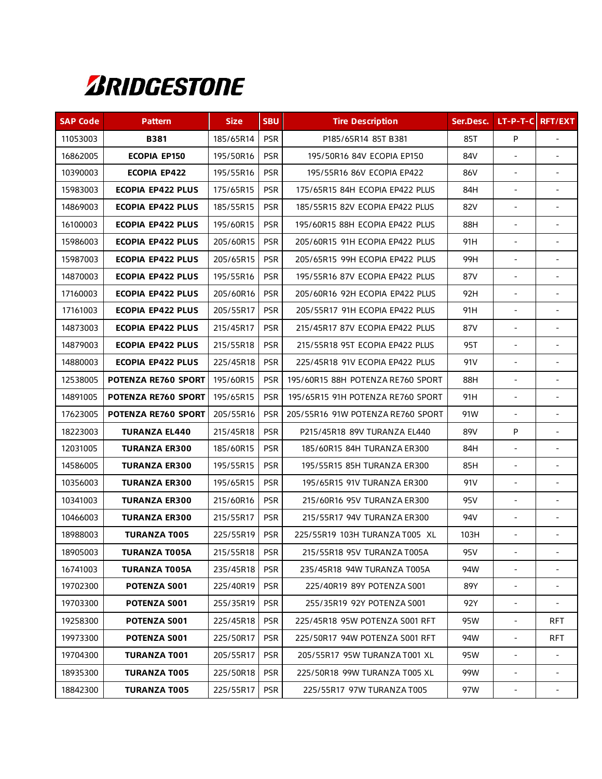

| <b>SAP Code</b> | <b>Pattern</b>           | <b>Size</b> | <b>SBU</b> | <b>Tire Description</b>           | Ser.Desc. |                          | LT-P-T-C RFT/EXT         |
|-----------------|--------------------------|-------------|------------|-----------------------------------|-----------|--------------------------|--------------------------|
| 11053003        | <b>B381</b>              | 185/65R14   | <b>PSR</b> | P185/65R14 85T B381               | 85T       | P                        |                          |
| 16862005        | <b>ECOPIA EP150</b>      | 195/50R16   | <b>PSR</b> | 195/50R16 84V ECOPIA EP150        | 84V       | $\overline{a}$           | $\sim$                   |
| 10390003        | <b>ECOPIA EP422</b>      | 195/55R16   | <b>PSR</b> | 195/55R16 86V ECOPIA EP422        | 86V       | $\overline{\phantom{a}}$ | $\overline{\phantom{0}}$ |
| 15983003        | <b>ECOPIA EP422 PLUS</b> | 175/65R15   | <b>PSR</b> | 175/65R15 84H ECOPIA EP422 PLUS   | 84H       | $\blacksquare$           | $\sim$                   |
| 14869003        | <b>ECOPIA EP422 PLUS</b> | 185/55R15   | <b>PSR</b> | 185/55R15 82V ECOPIA EP422 PLUS   | 82V       |                          |                          |
| 16100003        | <b>ECOPIA EP422 PLUS</b> | 195/60R15   | <b>PSR</b> | 195/60R15 88H ECOPIA EP422 PLUS   | 88H       |                          |                          |
| 15986003        | <b>ECOPIA EP422 PLUS</b> | 205/60R15   | <b>PSR</b> | 205/60R15 91H ECOPIA EP422 PLUS   | 91H       |                          |                          |
| 15987003        | <b>ECOPIA EP422 PLUS</b> | 205/65R15   | <b>PSR</b> | 205/65R15 99H ECOPIA EP422 PLUS   | 99H       | $\sim$                   | $\sim$                   |
| 14870003        | <b>ECOPIA EP422 PLUS</b> | 195/55R16   | <b>PSR</b> | 195/55R16 87V ECOPIA EP422 PLUS   | 87V       |                          |                          |
| 17160003        | <b>ECOPIA EP422 PLUS</b> | 205/60R16   | <b>PSR</b> | 205/60R16 92H ECOPIA EP422 PLUS   | 92H       |                          | $\blacksquare$           |
| 17161003        | <b>ECOPIA EP422 PLUS</b> | 205/55R17   | <b>PSR</b> | 205/55R17 91H ECOPIA EP422 PLUS   | 91H       | $\blacksquare$           |                          |
| 14873003        | <b>ECOPIA EP422 PLUS</b> | 215/45R17   | <b>PSR</b> | 215/45R17 87V ECOPIA EP422 PLUS   | 87V       |                          |                          |
| 14879003        | <b>ECOPIA EP422 PLUS</b> | 215/55R18   | <b>PSR</b> | 215/55R18 95T ECOPIA EP422 PLUS   | 95T       | $\blacksquare$           | $\overline{\phantom{a}}$ |
| 14880003        | <b>ECOPIA EP422 PLUS</b> | 225/45R18   | <b>PSR</b> | 225/45R18 91V ECOPIA EP422 PLUS   | 91V       | $\blacksquare$           | $\blacksquare$           |
| 12538005        | POTENZA RE760 SPORT      | 195/60R15   | <b>PSR</b> | 195/60R15 88H POTENZA RE760 SPORT | 88H       | $\blacksquare$           | $\blacksquare$           |
| 14891005        | POTENZA RE760 SPORT      | 195/65R15   | <b>PSR</b> | 195/65R15 91H POTENZA RE760 SPORT | 91H       | $\sim$                   | $\blacksquare$           |
| 17623005        | POTENZA RE760 SPORT      | 205/55R16   | <b>PSR</b> | 205/55R16 91W POTENZA RE760 SPORT | 91W       | $\overline{\phantom{a}}$ | $\overline{\phantom{a}}$ |
| 18223003        | <b>TURANZA EL440</b>     | 215/45R18   | <b>PSR</b> | P215/45R18 89V TURANZA EL440      | 89V       | P                        |                          |
| 12031005        | <b>TURANZA ER300</b>     | 185/60R15   | <b>PSR</b> | 185/60R15 84H TURANZA ER300       | 84H       | ٠                        | $\sim$                   |
| 14586005        | <b>TURANZA ER300</b>     | 195/55R15   | <b>PSR</b> | 195/55R15 85H TURANZA ER300       | 85H       |                          |                          |
| 10356003        | <b>TURANZA ER300</b>     | 195/65R15   | <b>PSR</b> | 195/65R15 91V TURANZA ER300       | 91V       | $\blacksquare$           |                          |
| 10341003        | <b>TURANZA ER300</b>     | 215/60R16   | <b>PSR</b> | 215/60R16 95V TURANZA ER300       | 95V       |                          |                          |
| 10466003        | <b>TURANZA ER300</b>     | 215/55R17   | <b>PSR</b> | 215/55R17 94V TURANZA ER300       | 94V       | $\blacksquare$           | $\overline{\phantom{a}}$ |
| 18988003        | <b>TURANZA T005</b>      | 225/55R19   | <b>PSR</b> | 225/55R19 103H TURANZA T005 XL    | 103H      |                          |                          |
| 18905003        | <b>TURANZA T005A</b>     | 215/55R18   | <b>PSR</b> | 215/55R18 95V TURANZA T005A       | 95V       |                          |                          |
| 16741003        | <b>TURANZA T005A</b>     | 235/45R18   | <b>PSR</b> | 235/45R18 94W TURANZA T005A       | 94W       | $\overline{\phantom{a}}$ |                          |
| 19702300        | POTENZA S001             | 225/40R19   | <b>PSR</b> | 225/40R19 89Y POTENZA S001        | 89Y       |                          |                          |
| 19703300        | POTENZA S001             | 255/35R19   | <b>PSR</b> | 255/35R19 92Y POTENZA S001        | 92Y       | $\blacksquare$           |                          |
| 19258300        | <b>POTENZA S001</b>      | 225/45R18   | <b>PSR</b> | 225/45R18 95W POTENZA S001 RFT    | 95W       | $\overline{\phantom{a}}$ | RFT.                     |
| 19973300        | POTENZA S001             | 225/50R17   | <b>PSR</b> | 225/50R17 94W POTENZA S001 RFT    | 94W       |                          | RFT.                     |
| 19704300        | TURANZA T001             | 205/55R17   | <b>PSR</b> | 205/55R17 95W TURANZA T001 XL     | 95W       |                          |                          |
| 18935300        | <b>TURANZA T005</b>      | 225/50R18   | <b>PSR</b> | 225/50R18 99W TURANZA T005 XL     | 99W       |                          |                          |
| 18842300        | <b>TURANZA T005</b>      | 225/55R17   | <b>PSR</b> | 225/55R17 97W TURANZA T005        | 97W       | $\overline{\phantom{a}}$ |                          |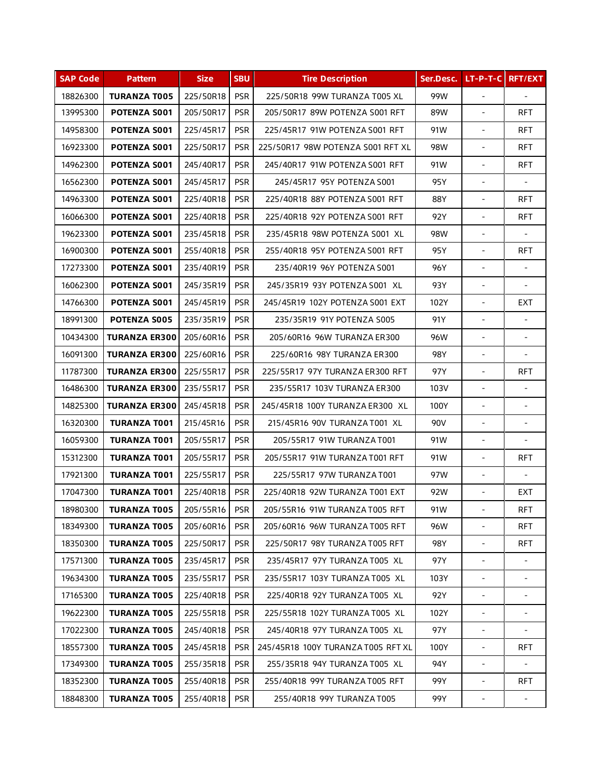| <b>SAP Code</b> | <b>Pattern</b>       | <b>Size</b> | <b>SBU</b> | <b>Tire Description</b>            | Ser.Desc.  | $LT-P-T-C$                   | <b>RFT/EXT</b>           |
|-----------------|----------------------|-------------|------------|------------------------------------|------------|------------------------------|--------------------------|
| 18826300        | <b>TURANZA T005</b>  | 225/50R18   | <b>PSR</b> | 225/50R18 99W TURANZA T005 XL      | 99W        | $\blacksquare$               |                          |
| 13995300        | POTENZA S001         | 205/50R17   | <b>PSR</b> | 205/50R17 89W POTENZA S001 RFT     | 89W        | $\overline{\phantom{a}}$     | <b>RFT</b>               |
| 14958300        | POTENZA S001         | 225/45R17   | <b>PSR</b> | 225/45R17 91W POTENZA S001 RFT     | 91W        | $\blacksquare$               | <b>RFT</b>               |
| 16923300        | POTENZA S001         | 225/50R17   | <b>PSR</b> | 225/50R17 98W POTENZA S001 RFT XL  | <b>98W</b> | $\overline{\phantom{0}}$     | <b>RFT</b>               |
| 14962300        | POTENZA S001         | 245/40R17   | <b>PSR</b> | 245/40R17 91W POTENZA S001 RFT     | 91W        | $\overline{\phantom{a}}$     | <b>RFT</b>               |
| 16562300        | <b>POTENZA S001</b>  | 245/45R17   | <b>PSR</b> | 245/45R17 95Y POTENZA S001         | 95Y        | ÷,                           |                          |
| 14963300        | POTENZA S001         | 225/40R18   | <b>PSR</b> | 225/40R18 88Y POTENZA S001 RFT     | 88Y        | ÷.                           | <b>RFT</b>               |
| 16066300        | POTENZA S001         | 225/40R18   | <b>PSR</b> | 225/40R18 92Y POTENZA S001 RFT     | 92Y        | ÷,                           | <b>RFT</b>               |
| 19623300        | POTENZA S001         | 235/45R18   | <b>PSR</b> | 235/45R18 98W POTENZA S001 XL      | 98W        | $\overline{\phantom{a}}$     |                          |
| 16900300        | POTENZA S001         | 255/40R18   | <b>PSR</b> | 255/40R18 95Y POTENZA S001 RFT     | 95Y        | $\blacksquare$               | <b>RFT</b>               |
| 17273300        | POTENZA S001         | 235/40R19   | <b>PSR</b> | 235/40R19 96Y POTENZA S001         | 96Y        | $\overline{\phantom{a}}$     | $\overline{\phantom{a}}$ |
| 16062300        | POTENZA S001         | 245/35R19   | <b>PSR</b> | 245/35R19 93Y POTENZA S001 XL      | 93Y        | $\blacksquare$               | $\overline{\phantom{a}}$ |
| 14766300        | POTENZA S001         | 245/45R19   | <b>PSR</b> | 245/45R19 102Y POTENZA S001 EXT    | 102Y       | $\overline{\phantom{a}}$     | <b>EXT</b>               |
| 18991300        | <b>POTENZA S005</b>  | 235/35R19   | <b>PSR</b> | 235/35R19 91Y POTENZA S005         | 91Y        | $\overline{\phantom{a}}$     | $\overline{\phantom{a}}$ |
| 10434300        | <b>TURANZA ER300</b> | 205/60R16   | <b>PSR</b> | 205/60R16 96W TURANZA ER300        | 96W        | $\blacksquare$               | $\blacksquare$           |
| 16091300        | <b>TURANZA ER300</b> | 225/60R16   | <b>PSR</b> | 225/60R16 98Y TURANZA ER300        | 98Y        | $\overline{\phantom{a}}$     |                          |
| 11787300        | <b>TURANZA ER300</b> | 225/55R17   | <b>PSR</b> | 225/55R17 97Y TURANZA ER300 RFT    | 97Y        | $\overline{\phantom{0}}$     | <b>RFT</b>               |
| 16486300        | <b>TURANZA ER300</b> | 235/55R17   | <b>PSR</b> | 235/55R17 103V TURANZA ER300       | 103V       | $\overline{a}$               |                          |
| 14825300        | <b>TURANZA ER300</b> | 245/45R18   | <b>PSR</b> | 245/45R18 100Y TURANZA ER300 XL    | 100Y       | ÷,                           | $\blacksquare$           |
| 16320300        | <b>TURANZA T001</b>  | 215/45R16   | <b>PSR</b> | 215/45R16 90V TURANZA T001 XL      | 90V        | ÷.                           | $\mathbf{r}$             |
| 16059300        | <b>TURANZA T001</b>  | 205/55R17   | <b>PSR</b> | 205/55R17 91W TURANZA T001         | 91W        | $\overline{\phantom{a}}$     |                          |
| 15312300        | <b>TURANZA T001</b>  | 205/55R17   | <b>PSR</b> | 205/55R17 91W TURANZA T001 RFT     | 91W        | $\blacksquare$               | <b>RFT</b>               |
| 17921300        | <b>TURANZA T001</b>  | 225/55R17   | <b>PSR</b> | 225/55R17 97W TURANZA T001         | 97W        | $\overline{\phantom{a}}$     | $\blacksquare$           |
| 17047300        | <b>TURANZA T001</b>  | 225/40R18   | <b>PSR</b> | 225/40R18 92W TURANZA T001 EXT     | 92W        | $\blacksquare$               | <b>EXT</b>               |
| 18980300        | <b>TURANZA T005</b>  | 205/55R16   | <b>PSR</b> | 205/55R16 91W TURANZA T005 RFT     | 91W        |                              | <b>RFT</b>               |
| 18349300        | <b>TURANZA T005</b>  | 205/60R16   | <b>PSR</b> | 205/60R16 96W TURANZA T005 RFT     | 96W        | $\qquad \qquad \blacksquare$ | <b>RFT</b>               |
| 18350300        | <b>TURANZA T005</b>  | 225/50R17   | <b>PSR</b> | 225/50R17 98Y TURANZA T005 RFT     | 98Y        | $\frac{1}{2}$                | <b>RFT</b>               |
| 17571300        | <b>TURANZA T005</b>  | 235/45R17   | <b>PSR</b> | 235/45R17 97Y TURANZA T005 XL      | 97Y        |                              |                          |
| 19634300        | <b>TURANZA T005</b>  | 235/55R17   | <b>PSR</b> | 235/55R17 103Y TURANZA T005 XL     | 103Y       | $\frac{1}{2}$                |                          |
| 17165300        | <b>TURANZA T005</b>  | 225/40R18   | <b>PSR</b> | 225/40R18 92Y TURANZA T005 XL      | 92Y        | $\frac{1}{2}$                |                          |
| 19622300        | <b>TURANZA T005</b>  | 225/55R18   | <b>PSR</b> | 225/55R18 102Y TURANZA T005 XL     | 102Y       |                              |                          |
| 17022300        | <b>TURANZA T005</b>  | 245/40R18   | <b>PSR</b> | 245/40R18 97Y TURANZA T005 XL      | 97Y        |                              |                          |
| 18557300        | <b>TURANZA T005</b>  | 245/45R18   | <b>PSR</b> | 245/45R18 100Y TURANZA T005 RFT XL | 100Y       | Ξ.                           | <b>RFT</b>               |
| 17349300        | <b>TURANZA T005</b>  | 255/35R18   | <b>PSR</b> | 255/35R18 94Y TURANZA T005 XL      | 94Y        | ÷,                           |                          |
| 18352300        | <b>TURANZA T005</b>  | 255/40R18   | <b>PSR</b> | 255/40R18 99Y TURANZA T005 RFT     | 99Y        | $\blacksquare$               | <b>RFT</b>               |
| 18848300        | <b>TURANZA T005</b>  | 255/40R18   | <b>PSR</b> | 255/40R18 99Y TURANZA T005         | 99Y        |                              |                          |